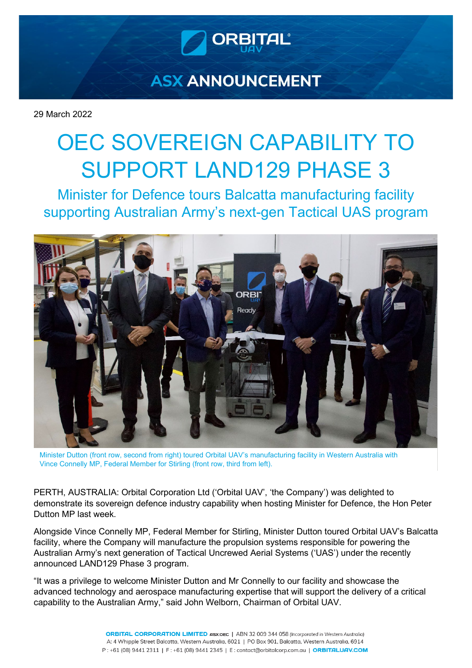

## **ASX ANNOUNCEMENT**

29 March 2022

# OEC SOVEREIGN CAPABILITY TO SUPPORT LAND129 PHASE 3

Minister for Defence tours Balcatta manufacturing facility supporting Australian Army's next-gen Tactical UAS program



Minister Dutton (front row, second from right) toured Orbital UAV's manufacturing facility in Western Australia with Vince Connelly MP, Federal Member for Stirling (front row, third from left).

PERTH, AUSTRALIA: Orbital Corporation Ltd ('Orbital UAV', 'the Company') was delighted to demonstrate its sovereign defence industry capability when hosting Minister for Defence, the Hon Peter Dutton MP last week.

Alongside Vince Connelly MP, Federal Member for Stirling, Minister Dutton toured Orbital UAV's Balcatta facility, where the Company will manufacture the propulsion systems responsible for powering the Australian Army's next generation of Tactical Uncrewed Aerial Systems ('UAS') under the recently announced LAND129 Phase 3 program.

"It was a privilege to welcome Minister Dutton and Mr Connelly to our facility and showcase the advanced technology and aerospace manufacturing expertise that will support the delivery of a critical capability to the Australian Army," said John Welborn, Chairman of Orbital UAV.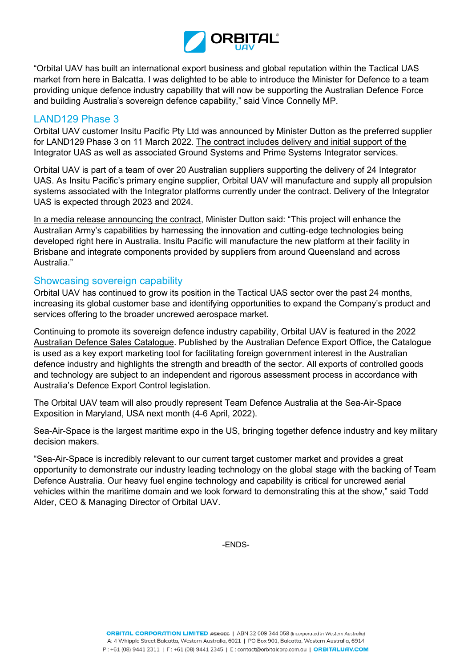

"Orbital UAV has built an international export business and global reputation within the Tactical UAS market from here in Balcatta. I was delighted to be able to introduce the Minister for Defence to a team providing unique defence industry capability that will now be supporting the Australian Defence Force and building Australia's sovereign defence capability," said Vince Connelly MP.

## LAND129 Phase 3

Orbital UAV customer Insitu Pacific Pty Ltd was announced by Minister Dutton as the preferred supplier for LAND129 Phase 3 on 11 March 2022. [The contract includes delivery and initial support of](https://insitupacific.com.au/blog/insitu-pacific-leads-australian-team-to-deliver-armys-next-gen-tactical-uncrewed-aerial-system/) the [Integrator UAS as well as associated Ground Systems and Prime Systems Integrator services.](https://insitupacific.com.au/blog/insitu-pacific-leads-australian-team-to-deliver-armys-next-gen-tactical-uncrewed-aerial-system/) 

Orbital UAV is part of a team of over 20 Australian suppliers supporting the delivery of 24 Integrator UAS. As Insitu Pacific's primary engine supplier, Orbital UAV will manufacture and supply all propulsion systems associated with the Integrator platforms currently under the contract. Delivery of the Integrator UAS is expected through 2023 and 2024.

[In a media release announcing the contract,](https://www.minister.defence.gov.au/minister/peter-dutton/media-releases/australian-army-invests-650-million-uncrewed-aerial-systems) Minister Dutton said: "This project will enhance the Australian Army's capabilities by harnessing the innovation and cutting-edge technologies being developed right here in Australia. Insitu Pacific will manufacture the new platform at their facility in Brisbane and integrate components provided by suppliers from around Queensland and across Australia."

## Showcasing sovereign capability

Orbital UAV has continued to grow its position in the Tactical UAS sector over the past 24 months, increasing its global customer base and identifying opportunities to expand the Company's product and services offering to the broader uncrewed aerospace market.

Continuing to promote its sovereign defence industry capability, Orbital UAV is featured in the [2022](https://www.defence.gov.au/sites/default/files/2022-03/Australian-Defence-Sales-Catalogue-2022_0.pdf)  [Australian Defence Sales Catalogue.](https://www.defence.gov.au/sites/default/files/2022-03/Australian-Defence-Sales-Catalogue-2022_0.pdf) Published by the Australian Defence Export Office, the Catalogue is used as a key export marketing tool for facilitating foreign government interest in the Australian defence industry and highlights the strength and breadth of the sector. All exports of controlled goods and technology are subject to an independent and rigorous assessment process in accordance with Australia's Defence Export Control legislation.

The Orbital UAV team will also proudly represent Team Defence Australia at the Sea-Air-Space Exposition in Maryland, USA next month (4-6 April, 2022).

Sea-Air-Space is the largest maritime expo in the US, bringing together defence industry and key military decision makers.

"Sea-Air-Space is incredibly relevant to our current target customer market and provides a great opportunity to demonstrate our industry leading technology on the global stage with the backing of Team Defence Australia. Our heavy fuel engine technology and capability is critical for uncrewed aerial vehicles within the maritime domain and we look forward to demonstrating this at the show," said Todd Alder, CEO & Managing Director of Orbital UAV.

-ENDS-